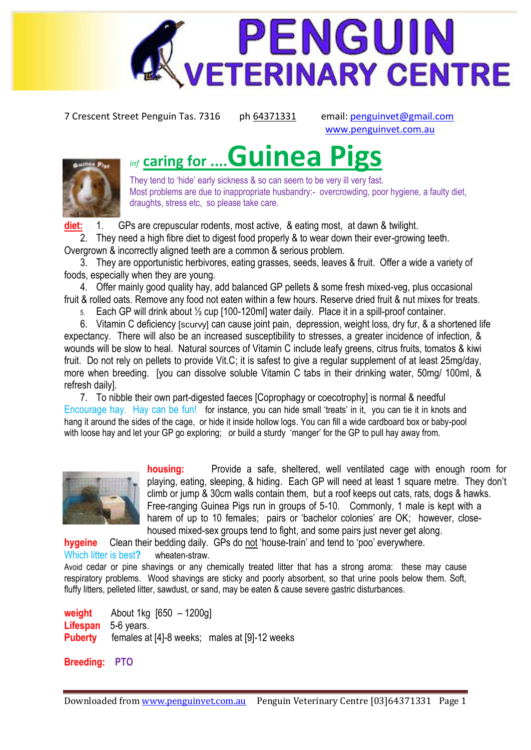

7 Crescent Street Penguin Tas. 7316 ph 64371331 email[: penguinvet@gmail.com](mailto:penguinvet@gmail.com)

[www.penguinvet.com.au](http://www.penguinvet.com.au/)

## *inf* **caring for ....Guinea Pigs**



They tend to 'hide' early sickness & so can seem to be very ill very fast. Most problems are due to inappropriate husbandry:- overcrowding, poor hygiene, a faulty diet, draughts, stress etc, so please take care.

**diet:** 1. GPs are crepuscular rodents, most active, & eating most, at dawn & twilight.

2. They need a high fibre diet to digest food properly & to wear down their ever-growing teeth. Overgrown & incorrectly aligned teeth are a common & serious problem.

3. They are opportunistic herbivores, eating grasses, seeds, leaves & fruit. Offer a wide a variety of foods, especially when they are young.

4. Offer mainly good quality hay, add balanced GP pellets & some fresh mixed-veg, plus occasional fruit & rolled oats. Remove any food not eaten within a few hours. Reserve dried fruit & nut mixes for treats.

5. Each GP will drink about ½ cup [100-120ml] water daily. Place it in a spill-proof container.

6. Vitamin C deficiency [scurvy] can cause joint pain, depression, weight loss, dry fur, & a shortened life expectancy. There will also be an increased susceptibility to stresses, a greater incidence of infection, & wounds will be slow to heal. Natural sources of Vitamin C include leafy greens, citrus fruits, tomatos & kiwi fruit. Do not rely on pellets to provide Vit.C; it is safest to give a regular supplement of at least 25mg/day, more when breeding. [you can dissolve soluble Vitamin C tabs in their drinking water, 50mg/ 100ml, & refresh daily].

7. To nibble their own part-digested faeces [Coprophagy or coecotrophy] is normal & needful Encourage hay. Hay can be fun!for instance, you can hide small "treats" in it, you can tie it in knots and hang it around the sides of the cage, or hide it inside hollow logs. You can fill a wide cardboard box or baby-pool with loose hay and let your GP go exploring; or build a sturdy 'manger' for the GP to pull hay away from.



**housing:** Provide a safe, sheltered, well ventilated cage with enough room for playing, eating, sleeping, & hiding. Each GP will need at least 1 square metre. They don"t climb or jump & 30cm walls contain them, but a roof keeps out cats, rats, dogs & hawks. Free-ranging Guinea Pigs run in groups of 5-10. Commonly, 1 male is kept with a harem of up to 10 females; pairs or 'bachelor colonies' are OK; however, closehoused mixed-sex groups tend to fight, and some pairs just never get along.

**hygeine** Clean their bedding daily. GPs do not "house-train" and tend to "poo" everywhere. Which litter is best**?** wheaten-straw.

Avoid cedar or pine shavings or any chemically treated litter that has a strong aroma: these may cause respiratory problems. Wood shavings are sticky and poorly absorbent, so that urine pools below them. Soft, fluffy litters, pelleted litter, sawdust, or sand, may be eaten & cause severe gastric disturbances.

**weight** About 1kg [650 – 1200g] **Lifespan** 5-6 years. **Puberty** females at [4]-8 weeks; males at [9]-12 weeks

**Breeding: PTO**